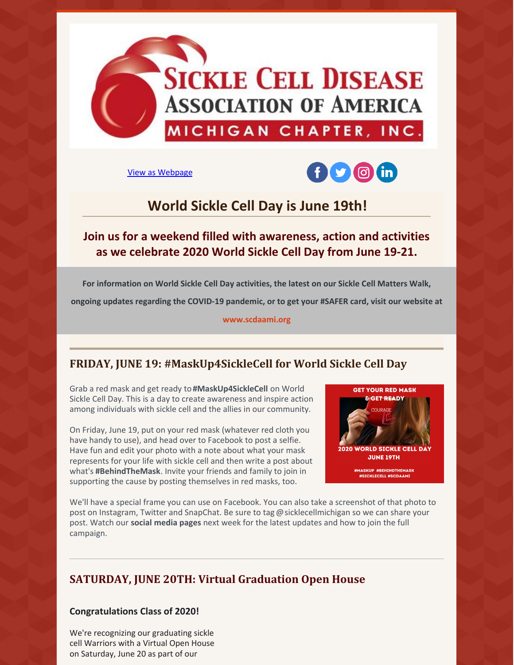

View as [Webpage](http://campaign.r20.constantcontact.com/render?ca=013d68d1-6b0a-46ee-9417-207547babf81&preview=true&m=1133047724740&id=preview)



# **World Sickle Cell Day is June 19th!**

## **Join us for a weekend filled with awareness, action and activities as we celebrate 2020 World Sickle Cell Day from June 19-21.**

**For information on World Sickle Cell Day activities, the latest on our Sickle Cell Matters Walk, ongoing updates regarding the COVID-19 pandemic, or to get your #SAFER card, visit our website at**

**[www.scdaami.org](https://www.scdaami.org/)**

## **FRIDAY, JUNE 19: #MaskUp4SickleCell for World Sickle Cell Day**

Grab a red mask and get ready to**#MaskUp4SickleCell** on World Sickle Cell Day. This is a day to create awareness and inspire action among individuals with sickle cell and the allies in our community.

On Friday, June 19, put on your red mask (whatever red cloth you have handy to use), and head over to Facebook to post a selfie. Have fun and edit your photo with a note about what your mask represents for your life with sickle cell and then write a post about what's **#BehindTheMask**. Invite your friends and family to join in supporting the cause by posting themselves in red masks, too.



We'll have a special frame you can use on Facebook. You can also take a screenshot of that photo to post on Instagram, Twitter and SnapChat. Be sure to tag @sicklecellmichigan so we can share your post. Watch our **social [media](https://www.facebook.com/sicklecellmichigan/) pages** next week for the latest updates and how to join the full campaign.

## **SATURDAY, JUNE 20TH: Virtual Graduation Open House**

#### **Congratulations Class of 2020!**

We're recognizing our graduating sickle cell Warriors with a Virtual Open House on Saturday, June 20 as part of our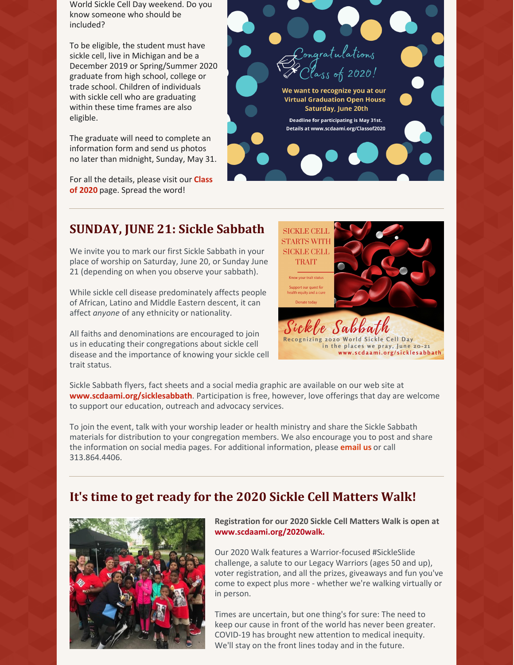World Sickle Cell Day weekend. Do you know someone who should be included?

To be eligible, the student must have sickle cell, live in Michigan and be a December 2019 or Spring/Summer 2020 graduate from high school, college or trade school. Children of individuals with sickle cell who are graduating within these time frames are also eligible.

The graduate will need to complete an information form and send us photos no later than midnight, Sunday, May 31.

For all the [details,](https://www.scdaami.org/classof2020) please visit our **Class of 2020** page. Spread the word!



## **SUNDAY, JUNE 21: Sickle Sabbath**

We invite you to mark our first Sickle Sabbath in your place of worship on Saturday, June 20, or Sunday June 21 (depending on when you observe your sabbath).

While sickle cell disease predominately affects people of African, Latino and Middle Eastern descent, it can affect *anyone* of any ethnicity or nationality.

All faiths and denominations are encouraged to join us in educating their congregations about sickle cell disease and the importance of knowing your sickle cell trait status.



Sickle Sabbath flyers, fact sheets and a social media graphic are available on our web site at **[www.scdaami.org/sicklesabbath](https://www.scdaami.org/sicklesabbath)**. Participation is free, however, love offerings that day are welcome to support our education, outreach and advocacy services.

To join the event, talk with your worship leader or health ministry and share the Sickle Sabbath materials for distribution to your congregation members. We also encourage you to post and share the information on social media pages. For additional information, please **[email](mailto:info@scdaami.org) us** or call 313.864.4406.

## **It's time to get ready for the 2020 Sickle Cell Matters Walk!**



**Registration for our 2020 Sickle Cell Matters Walk is open at [www.scdaami.org/2020walk](https://www.scdaami.org/2020walk).**

Our 2020 Walk features a Warrior-focused #SickleSlide challenge, a salute to our Legacy Warriors (ages 50 and up), voter registration, and all the prizes, giveaways and fun you've come to expect plus more - whether we're walking virtually or in person.

Times are uncertain, but one thing's for sure: The need to keep our cause in front of the world has never been greater. COVID-19 has brought new attention to medical inequity. We'll stay on the front lines today and in the future.